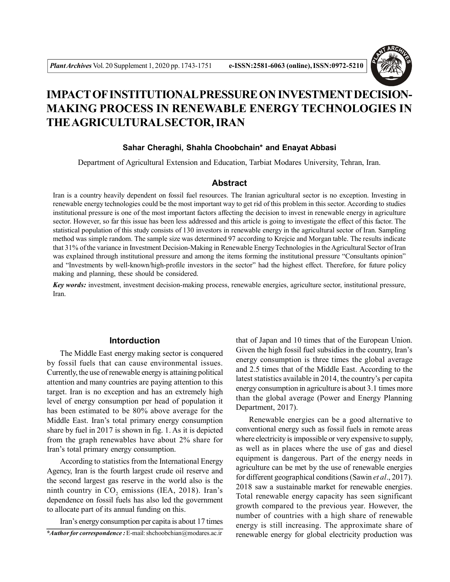

# **IMPACT OF INSTITUTIONAL PRESSURE ON INVESTMENT DECISION-MAKING PROCESS IN RENEWABLE ENERGY TECHNOLOGIES IN THE AGRICULTURAL SECTOR, IRAN**

## **Sahar Cheraghi, Shahla Choobchain\* and Enayat Abbasi**

Department of Agricultural Extension and Education, Tarbiat Modares University, Tehran, Iran.

#### **Abstract**

Iran is a country heavily dependent on fossil fuel resources. The Iranian agricultural sector is no exception. Investing in renewable energy technologies could be the most important way to get rid of this problem in this sector. According to studies institutional pressure is one of the most important factors affecting the decision to invest in renewable energy in agriculture sector. However, so far this issue has been less addressed and this article is going to investigate the effect of this factor. The statistical population of this study consists of 130 investors in renewable energy in the agricultural sector of Iran. Sampling method was simple random. The sample size was determined 97 according to Krejcie and Morgan table. The results indicate that 31% of the variance in Investment Decision-Making in Renewable Energy Technologies in the Agricultural Sector of Iran was explained through institutional pressure and among the items forming the institutional pressure "Consultants opinion" and "Investments by well-known/high-profile investors in the sector" had the highest effect. Therefore, for future policy making and planning, these should be considered.

*Key words:* investment, investment decision-making process, renewable energies, agriculture sector, institutional pressure, Iran.

## **Intorduction**

The Middle East energy making sector is conquered by fossil fuels that can cause environmental issues. Currently, the use of renewable energy is attaining political attention and many countries are paying attention to this target. Iran is no exception and has an extremely high level of energy consumption per head of population it has been estimated to be 80% above average for the Middle East. Iran's total primary energy consumption share by fuel in 2017 is shown in fig. 1. As it is depicted from the graph renewables have about 2% share for Iran's total primary energy consumption.

According to statistics from the International Energy Agency, Iran is the fourth largest crude oil reserve and the second largest gas reserve in the world also is the minth country in  $CO_2$  emissions (IEA, 2018). Iran's dependence on fossil fuels has also led the government to allocate part of its annual funding on this.

*\*Author for correspondence :* E-mail: shchoobchian@modares.ac.ir Iran's energy consumption per capita is about 17 times that of Japan and 10 times that of the European Union. Given the high fossil fuel subsidies in the country, Iran's energy consumption is three times the global average and 2.5 times that of the Middle East. According to the latest statistics available in 2014, the country's per capita energy consumption in agriculture is about 3.1 times more than the global average (Power and Energy Planning Department, 2017).

Renewable energies can be a good alternative to conventional energy such as fossil fuels in remote areas where electricity is impossible or very expensive to supply, as well as in places where the use of gas and diesel equipment is dangerous. Part of the energy needs in agriculture can be met by the use of renewable energies for different geographical conditions (Sawin *et al*., 2017). 2018 saw a sustainable market for renewable energies. Total renewable energy capacity has seen significant growth compared to the previous year. However, the number of countries with a high share of renewable energy is still increasing. The approximate share of renewable energy for global electricity production was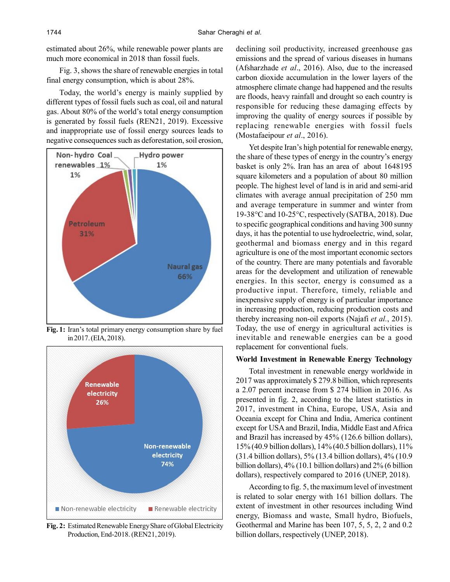estimated about 26%, while renewable power plants are much more economical in 2018 than fossil fuels.

Fig. 3, shows the share of renewable energies in total final energy consumption, which is about 28%.

Today, the world's energy is mainly supplied by different types of fossil fuels such as coal, oil and natural gas. About 80% of the world's total energy consumption is generated by fossil fuels (REN21, 2019). Excessive and inappropriate use of fossil energy sources leads to negative consequences such as deforestation, soil erosion,



**Fig. 1:** Iran's total primary energy consumption share by fuel in 2017. (EIA, 2018).



**Fig. 2:** Estimated Renewable Energy Share of Global Electricity Production, End-2018. (REN21, 2019).

declining soil productivity, increased greenhouse gas emissions and the spread of various diseases in humans (Afsharzhade *et al*., 2016). Also, due to the increased carbon dioxide accumulation in the lower layers of the atmosphere climate change had happened and the results are floods, heavy rainfall and drought so each country is responsible for reducing these damaging effects by improving the quality of energy sources if possible by replacing renewable energies with fossil fuels (Mostafaeipour *et al*., 2016).

Yet despite Iran's high potential for renewable energy, the share of these types of energy in the country's energy basket is only 2%. Iran has an area of about 1648195 square kilometers and a population of about 80 million people. The highest level of land is in arid and semi-arid climates with average annual precipitation of 250 mm and average temperature in summer and winter from 19-38°C and 10-25°C, respectively (SATBA, 2018). Due to specific geographical conditions and having 300 sunny days, it has the potential to use hydroelectric, wind, solar, geothermal and biomass energy and in this regard agriculture is one of the most important economic sectors of the country. There are many potentials and favorable areas for the development and utilization of renewable energies. In this sector, energy is consumed as a productive input. Therefore, timely, reliable and inexpensive supply of energy is of particular importance in increasing production, reducing production costs and thereby increasing non-oil exports (Najafi *et al.*, 2015). Today, the use of energy in agricultural activities is inevitable and renewable energies can be a good replacement for conventional fuels.

## **World Investment in Renewable Energy Technology**

Total investment in renewable energy worldwide in 2017 was approximately \$ 279.8 billion, which represents a 2.07 percent increase from \$ 274 billion in 2016. As presented in fig. 2, according to the latest statistics in 2017, investment in China, Europe, USA, Asia and Oceania except for China and India, America continent except for USA and Brazil, India, Middle East and Africa and Brazil has increased by 45% (126.6 billion dollars), 15% (40.9 billion dollars), 14% (40.5 billion dollars), 11% (31.4 billion dollars), 5% (13.4 billion dollars), 4% (10.9 billion dollars), 4% (10.1 billion dollars) and 2% (6 billion dollars), respectively compared to 2016 (UNEP, 2018).

According to fig. 5, the maximum level of investment is related to solar energy with 161 billion dollars. The extent of investment in other resources including Wind energy, Biomass and waste, Small hydro, Biofuels, Geothermal and Marine has been 107, 5, 5, 2, 2 and 0.2 billion dollars, respectively (UNEP, 2018).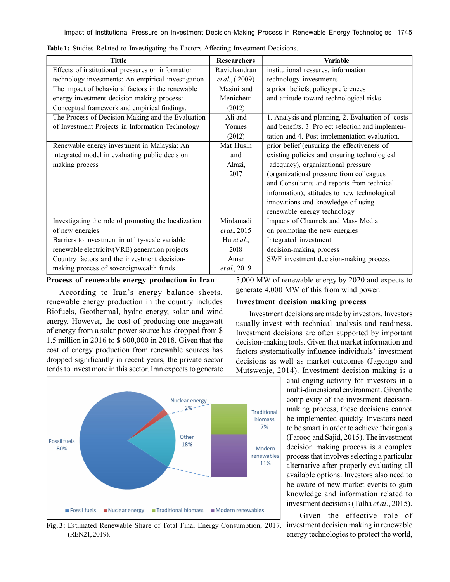| <b>Tittle</b>                                        | <b>Researchers</b>     | <b>Variable</b>                                  |
|------------------------------------------------------|------------------------|--------------------------------------------------|
| Effects of institutional pressures on information    | Ravichandran           | institutional ressures, information              |
| technology investments: An empirical investigation   | <i>et al.</i> , (2009) | technology investments                           |
| The impact of behavioral factors in the renewable    | Masini and             | a priori beliefs, policy preferences             |
| energy investment decision making process:           | Menichetti             | and attitude toward technological risks          |
| Conceptual framework and empirical findings.         | (2012)                 |                                                  |
| The Process of Decision Making and the Evaluation    | Ali and                | 1. Analysis and planning, 2. Evaluation of costs |
| of Investment Projects in Information Technology     | Younes                 | and benefits, 3. Project selection and implemen- |
|                                                      | (2012)                 | tation and 4. Post-implementation evaluation.    |
| Renewable energy investment in Malaysia: An          | Mat Husin              | prior belief (ensuring the effectiveness of      |
| integrated model in evaluating public decision       | and                    | existing policies and ensuring technological     |
| making process                                       | Alrazi,                | adequacy), organizational pressure               |
|                                                      | 2017                   | (organizational pressure from colleagues         |
|                                                      |                        | and Consultants and reports from technical       |
|                                                      |                        | information), attitudes to new technological     |
|                                                      |                        | innovations and knowledge of using               |
|                                                      |                        | renewable energy technology                      |
| Investigating the role of promoting the localization | Mirdamadi              | Impacts of Channels and Mass Media               |
| of new energies                                      | et al., 2015           | on promoting the new energies                    |
| Barriers to investment in utility-scale variable     | Hu <i>et al.</i> ,     | Integrated investment                            |
| renewable electricity(VRE) generation projects       | 2018                   | decision-making process                          |
| Country factors and the investment decision-         | Amar                   | SWF investment decision-making process           |
| making process of sovereignwealth funds              | et al., 2019           |                                                  |

**Table 1:** Studies Related to Investigating the Factors Affecting Investment Decisions.

### **Process of renewable energy production in Iran**

According to Iran's energy balance sheets, renewable energy production in the country includes Biofuels, Geothermal, hydro energy, solar and wind energy. However, the cost of producing one megawatt of energy from a solar power source has dropped from \$ 1.5 million in 2016 to \$ 600,000 in 2018. Given that the cost of energy production from renewable sources has dropped significantly in recent years, the private sector tends to invest more in this sector. Iran expects to generate

5,000 MW of renewable energy by 2020 and expects to generate 4,000 MW of this from wind power.

#### **Investment decision making process**

Investment decisions are made by investors. Investors usually invest with technical analysis and readiness. Investment decisions are often supported by important decision-making tools. Given that market information and factors systematically influence individuals' investment decisions as well as market outcomes (Jagongo and Mutswenje, 2014). Investment decision making is a

challenging activity for investors in a multi-dimensional environment. Given the complexity of the investment decisionmaking process, these decisions cannot be implemented quickly. Investors need to be smart in order to achieve their goals (Farooq and Sajid, 2015). The investment decision making process is a complex process that involves selecting a particular alternative after properly evaluating all available options. Investors also need to be aware of new market events to gain knowledge and information related to investment decisions (Talha *et al.*, 2015).

Given the effective role of investment decision making in renewable energy technologies to protect the world,



**Fig. 3:** Estimated Renewable Share of Total Final Energy Consumption, 2017. (REN21, 2019).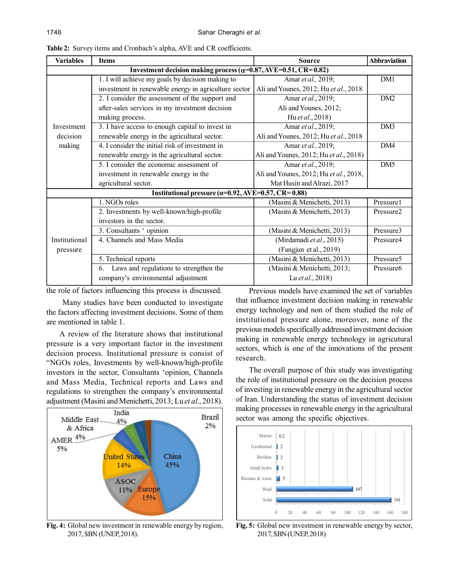| <b>Variables</b> | <b>Items</b>                                                            | <b>Source</b>                          | <b>Abbraviation</b>   |  |
|------------------|-------------------------------------------------------------------------|----------------------------------------|-----------------------|--|
|                  | Investment decision making process ( $\alpha$ =0.87, AVE=0.51, CR=0.82) |                                        |                       |  |
|                  | 1. I will achieve my goals by decision making to                        | Amar et al., 2019;                     | DM1                   |  |
|                  | investment in renewable energy in agriculture sector                    | Ali and Younes, 2012; Hu et al., 2018  |                       |  |
|                  | 2. I consider the assessment of the support and                         | Amar et al., 2019;                     | DM2                   |  |
|                  | after-sales services in my investment decision                          | Ali and Younes, 2012;                  |                       |  |
|                  | making process.                                                         | Hu et al., 2018)                       |                       |  |
| Investment       | 3. I have access to enough capital to invest in                         | Amar et al., 2019;                     | DM3                   |  |
| decision         | renewable energy in the agricultural sector.                            | Ali and Younes, 2012; Hu et al., 2018  |                       |  |
| making           | 4. I consider the initial risk of investment in                         | Amar et al., 2019;                     | DM4                   |  |
|                  | renewable energy in the agricultural sector.                            | Ali and Younes, 2012; Hu et al., 2018) |                       |  |
|                  | 5. I consider the economic assessment of                                | Amar et al., 2019;                     | DM5                   |  |
|                  | investment in renewable energy in the                                   | Ali and Younes, 2012; Hu et al., 2018, |                       |  |
|                  | agricultural sector.                                                    | Mat Husin and Alrazi, 2017             |                       |  |
|                  | Institutional pressure ( $\alpha$ =0.92, AVE=0.57, CR=0.88)             |                                        |                       |  |
|                  | $\overline{1.}$ NGOs roles                                              | (Masini & Menichetti, 2013)            | Pressure1             |  |
|                  | 2. Investments by well-known/high-profile                               | (Masini & Menichetti, 2013)            | Pressure <sub>2</sub> |  |
|                  | investors in the sector.                                                |                                        |                       |  |
|                  | 3. Consultants 'opinion                                                 | (Masini & Menichetti, 2013)            | Pressure3             |  |
| Institutional    | 4. Channels and Mass Media                                              | (Mirdamadi et al., 2015)               | Pressure4             |  |
| pressure         |                                                                         | (Fangjun et al., 2019)                 |                       |  |
|                  | 5. Technical reports                                                    | (Masini & Menichetti, 2013)            | Pressure <sub>5</sub> |  |
|                  | Laws and regulations to strengthen the<br>6.                            | (Masini & Menichetti, 2013;            | Pressure6             |  |
|                  | company's environmental adjustment                                      | Lu et al., 2018)                       |                       |  |

**Table 2:** Survey items and Cronbach's alpha, AVE and CR coefficients.

the role of factors influencing this process is discussed.

 Many studies have been conducted to investigate the factors affecting investment decisions. Some of them are mentioned in table 1.

A review of the literature shows that institutional pressure is a very important factor in the investment decision process. Institutional pressure is consist of "NGOs roles, Investments by well-known/high-profile investors in the sector, Consultants 'opinion, Channels and Mass Media, Technical reports and Laws and regulations to strengthen the company's environmental adjustment (Masini and Menichetti, 2013; Lu *et al*., 2018).



**Fig. 4:** Global new investment in renewable energy by region, 2017, \$BN (UNEP, 2018).

Previous models have examined the set of variables that influence investment decision making in renewable energy technology and non of them studied the role of institutional pressure alone, moreover, none of the previous models specifically addressed investment decision making in renewable energy technology in agricutural sectors, which is one of the innovations of the present research.

The overall purpose of this study was investigating the role of institutional pressure on the decision process of investing in renewable energy in the agricultural sector of Iran. Understanding the status of investment decision making processes in renewable energy in the agricultural sector was among the specific objectives.



**Fig. 5:** Global new investment in renewable energy by sector, 2017, \$BN (UNEP, 2018)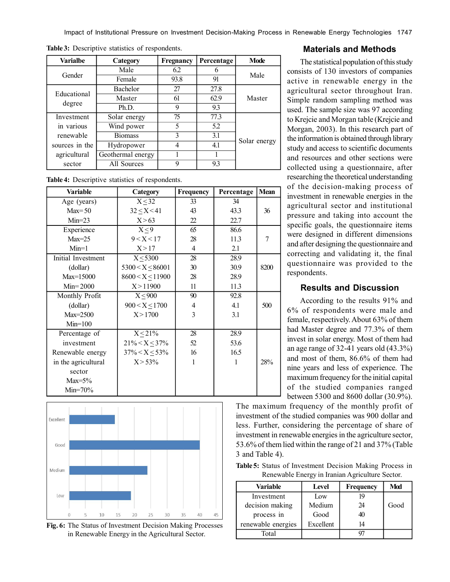| <b>Varialbe</b> | Category          | Fregnancy | Percentage | <b>Mode</b>  |
|-----------------|-------------------|-----------|------------|--------------|
| Gender          | Male              | 6.2       | 6          | Male         |
|                 | Female            | 93.8      | 91         |              |
| Educational     | Bachelor          | 27        | 27.8       |              |
|                 | Master            | 61        | 62.9       | Master       |
| degree          | Ph.D.             | 9         | 93         |              |
| Investment      | Solar energy      | 75        | 77.3       |              |
| in various      | Wind power        | 5         | 5.2        |              |
| renewable       | <b>Biomass</b>    | 3         | 3.1        |              |
| sources in the  | Hydropower        | 4         | 4.1        | Solar energy |
| agricultural    | Geothermal energy |           |            |              |
| sector          | All Sources       | 9         | 93         |              |

**Table 3:** Descriptive statistics of respondents.

**Table 4:** Descriptive statistics of respondents.

| Variable            | Category              | <b>Frequency</b> | Percentage | <b>Mean</b>    |
|---------------------|-----------------------|------------------|------------|----------------|
| Age (years)         | $X \leq 32$           | 33               | 34         |                |
| $Max=50$            | 32 < X < 41           | 43               | 43.3       | 36             |
| $Min=23$            | X > 63                | 22               | 22.7       |                |
| Experience          | X < 9                 | 65               | 86.6       |                |
| $Max=25$            | 9 < X < 17            | 28               | 11.3       | $\overline{7}$ |
| $Min=1$             | X > 17                | $\overline{4}$   | 2.1        |                |
| Initial Investment  | $X \leq 5300$         | 28               | 28.9       |                |
| (dollar)            | $5300 < X \leq 86001$ | 30               | 30.9       | 8200           |
| $Max=15000$         | $8600 < X \le 11900$  | 28               | 28.9       |                |
| $Min = 2000$        | X > 11900             | 11               | 11.3       |                |
| Monthly Profit      | $X \leq 900$          | 90               | 92.8       |                |
| (dollar)            | $900 < X \le 1700$    | 4                | 4.1        | 500            |
| $Max=2500$          | X > 1700              | 3                | 3.1        |                |
| $Min=100$           |                       |                  |            |                |
| Percentage of       | $X \leq 21\%$         | 28               | 28.9       |                |
| investment          | $21\% < X \leq 37\%$  | 52               | 53.6       |                |
| Renewable energy    | $37\% < X \leq 53\%$  | 16               | 16.5       |                |
| in the agricultural | $X > 53\%$            | 1                | 1          | 28%            |
| sector              |                       |                  |            |                |
| $Max=5\%$           |                       |                  |            |                |
| $Min=70\%$          |                       |                  |            |                |



**Fig. 6:** The Status of Investment Decision Making Processes in Renewable Energy in the Agricultural Sector.

# **Materials and Methods**

The statistical population of this study consists of 130 investors of companies active in renewable energy in the agricultural sector throughout Iran. Simple random sampling method was used. The sample size was 97 according to Krejcie and Morgan table (Krejcie and Morgan, 2003). In this research part of the information is obtained through library study and access to scientific documents and resources and other sections were collected using a questionnaire, after researching the theoretical understanding of the decision-making process of investment in renewable energies in the agricultural sector and institutional pressure and taking into account the specific goals, the questionnaire items were designed in different dimensions and after designing the questionnaire and correcting and validating it, the final questionnaire was provided to the respondents.

# **Results and Discussion**

According to the results 91% and 6% of respondents were male and female, respectively. About 63% of them had Master degree and 77.3% of them invest in solar energy. Most of them had an age range of 32-41 years old (43.3%) and most of them, 86.6% of them had nine years and less of experience. The maximum frequency for the initial capital of the studied companies ranged between 5300 and 8600 dollar (30.9%).

The maximum frequency of the monthly profit of investment of the studied companies was 900 dollar and less. Further, considering the percentage of share of investment in renewable energies in the agriculture sector, 53.6% of them lied within the range of 21 and 37% (Table 3 and Table 4).

**Table 5:** Status of Investment Decision Making Process in Renewable Energy in Iranian Agriculture Sector.

| Variable           | Level     | <b>Frequency</b> | Mod  |
|--------------------|-----------|------------------|------|
| Investment         | Low       | 19               |      |
| decision making    | Medium    | 24               | Good |
| process in         | Good      |                  |      |
| renewable energies | Excellent | 14               |      |
| Total              |           |                  |      |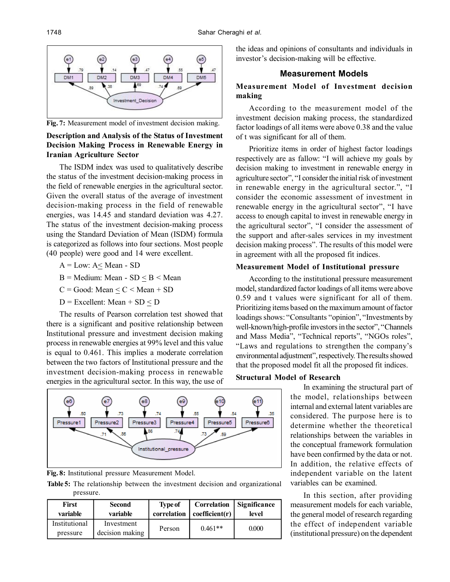

**Fig. 7:** Measurement model of investment decision making.

## **Description and Analysis of the Status of Investment Decision Making Process in Renewable Energy in Iranian Agriculture Sector**

The ISDM index was used to qualitatively describe the status of the investment decision-making process in the field of renewable energies in the agricultural sector. Given the overall status of the average of investment decision-making process in the field of renewable energies, was 14.45 and standard deviation was 4.27. The status of the investment decision-making process using the Standard Deviation of Mean (ISDM) formula is categorized as follows into four sections. Most people (40 people) were good and 14 were excellent.

- $A = Low: A < Mean SD$
- $B = Medium: Mean SD < B < Mean$
- $C = Good: Mean \leq C \leq Mean + SD$
- $D$  = Excellent: Mean + SD < D

The results of Pearson correlation test showed that there is a significant and positive relationship between Institutional pressure and investment decision making process in renewable energies at 99% level and this value is equal to 0.461. This implies a moderate correlation between the two factors of Institutional pressure and the investment decision-making process in renewable energies in the agricultural sector. In this way, the use of



**Fig. 8:** Institutional pressure Measurement Model.

**Table 5:** The relationship between the investment decision and organizational pressure.

| First                     | <b>Second</b>                 | <b>Type of</b> | Correlation    | Significance |
|---------------------------|-------------------------------|----------------|----------------|--------------|
| variable                  | variable                      | correlation 1  | coefficient(r) | level        |
| Institutional<br>pressure | Investment<br>decision making | Person         | $0.461**$      | 0.000        |

the ideas and opinions of consultants and individuals in investor's decision-making will be effective.

# **Measurement Models**

# **Measurement Model of Investment decision making**

According to the measurement model of the investment decision making process, the standardized factor loadings of all items were above 0.38 and the value of t was significant for all of them.

Prioritize items in order of highest factor loadings respectively are as fallow: "I will achieve my goals by decision making to investment in renewable energy in agriculture sector", "I consider the initial risk of investment in renewable energy in the agricultural sector.", "I consider the economic assessment of investment in renewable energy in the agricultural sector", "I have access to enough capital to invest in renewable energy in the agricultural sector", "I consider the assessment of the support and after-sales services in my investment decision making process". The results of this model were in agreement with all the proposed fit indices.

# **Measurement Model of Institutional pressure**

According to the institutional pressure measurement model, standardized factor loadings of all items were above 0.59 and t values were significant for all of them. Prioritizing items based on the maximum amount of factor loadings shows: "Consultants "opinion", "Investments by well-known/high-profile investors in the sector", "Channels and Mass Media", "Technical reports", "NGOs roles", "Laws and regulations to strengthen the company's environmental adjustment", respectively. The results showed that the proposed model fit all the proposed fit indices.

# **Structural Model of Research**

In examining the structural part of the model, relationships between internal and external latent variables are considered. The purpose here is to determine whether the theoretical relationships between the variables in the conceptual framework formulation have been confirmed by the data or not. In addition, the relative effects of independent variable on the latent variables can be examined.

In this section, after providing measurement models for each variable, the general model of research regarding the effect of independent variable (institutional pressure) on the dependent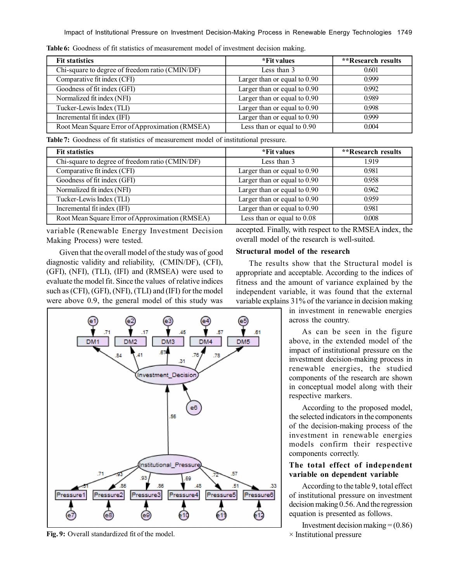| <b>Fit statistics</b>                           | *Fit values                    | <i>**</i> Research results |
|-------------------------------------------------|--------------------------------|----------------------------|
| Chi-square to degree of freedom ratio (CMIN/DF) | Less than 3                    | 0.601                      |
| Comparative fit index (CFI)                     | Larger than or equal to $0.90$ | 0.999                      |
| Goodness of fit index (GFI)                     | Larger than or equal to $0.90$ | 0.992                      |
| Normalized fit index (NFI)                      | Larger than or equal to $0.90$ | 0.989                      |
| Tucker-Lewis Index (TLI)                        | Larger than or equal to $0.90$ | 0.998                      |
| Incremental fit index (IFI)                     | Larger than or equal to $0.90$ | 0.999                      |
| Root Mean Square Error of Approximation (RMSEA) | Less than or equal to $0.90$   | 0.004                      |

**Table 6:** Goodness of fit statistics of measurement model of investment decision making.

**Table 7:** Goodness of fit statistics of measurement model of institutional pressure.

| <b>Fit statistics</b>                           | *Fit values                    | **Research results |
|-------------------------------------------------|--------------------------------|--------------------|
| Chi-square to degree of freedom ratio (CMIN/DF) | Less than 3                    | 1919               |
| Comparative fit index (CFI)                     | Larger than or equal to $0.90$ | 0.981              |
| Goodness of fit index (GFI)                     | Larger than or equal to $0.90$ | 0.958              |
| Normalized fit index (NFI)                      | Larger than or equal to $0.90$ | 0.962              |
| Tucker-Lewis Index (TLI)                        | Larger than or equal to $0.90$ | 0959               |
| Incremental fit index (IFI)                     | Larger than or equal to $0.90$ | 0.981              |
| Root Mean Square Error of Approximation (RMSEA) | Less than or equal to $0.08$   | 0.008              |

variable (Renewable Energy Investment Decision Making Process) were tested.

Given that the overall model of the study was of good diagnostic validity and reliability, (CMIN/DF), (CFI), (GFI), (NFI), (TLI), (IFI) and (RMSEA) were used to evaluate the model fit. Since the values of relative indices such as (CFI), (GFI), (NFI), (TLI) and (IFI) for the model were above 0.9, the general model of this study was



**Fig. 9:** Overall standardized fit of the model.

accepted. Finally, with respect to the RMSEA index, the overall model of the research is well-suited.

## **Structural model of the research**

The results show that the Structural model is appropriate and acceptable. According to the indices of fitness and the amount of variance explained by the independent variable, it was found that the external variable explains 31% of the variance in decision making

> in investment in renewable energies across the country.

As can be seen in the figure above, in the extended model of the impact of institutional pressure on the investment decision-making process in renewable energies, the studied components of the research are shown in conceptual model along with their respective markers.

According to the proposed model, the selected indicators in the components of the decision-making process of the investment in renewable energies models confirm their respective components correctly.

# **The total effect of independent variable on dependent variable**

According to the table 9, total effect of institutional pressure on investment decision making 0.56. And the regression equation is presented as follows.

Investment decision making  $= (0.86)$ × Institutional pressure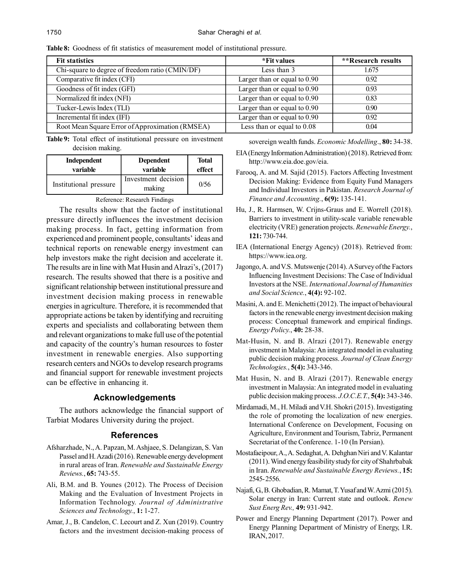**Table 8:** Goodness of fit statistics of measurement model of institutional pressure.

| <b>Fit statistics</b>                           | *Fit values                    | **Research results |
|-------------------------------------------------|--------------------------------|--------------------|
| Chi-square to degree of freedom ratio (CMIN/DF) | Less than 3                    | 1.675              |
| Comparative fit index (CFI)                     | Larger than or equal to $0.90$ | 0.92               |
| Goodness of fit index (GFI)                     | Larger than or equal to $0.90$ | 0.93               |
| Normalized fit index (NFI)                      | Larger than or equal to $0.90$ | 0.83               |
| Tucker-Lewis Index (TLI)                        | Larger than or equal to $0.90$ | 0.90               |
| Incremental fit index (IFI)                     | Larger than or equal to $0.90$ | 0.92               |
| Root Mean Square Error of Approximation (RMSEA) | Less than or equal to $0.08$   | 0.04               |

**Table 9:** Total effect of institutional pressure on investment decision making.

| Independent            | <b>Dependent</b>              | <b>Total</b> |
|------------------------|-------------------------------|--------------|
| variable               | variable                      | effect       |
| Institutional pressure | Investment decision<br>making | 0/56         |

Reference: Research Findings

The results show that the factor of institutional pressure directly influences the investment decision making process. In fact, getting information from experienced and prominent people, consultants' ideas and technical reports on renewable energy investment can help investors make the right decision and accelerate it. The results are in line with Mat Husin and Alrazi's, (2017) research. The results showed that there is a positive and significant relationship between institutional pressure and investment decision making process in renewable energies in agriculture. Therefore, it is recommended that appropriate actions be taken by identifying and recruiting experts and specialists and collaborating between them and relevant organizations to make full use of the potential and capacity of the country's human resources to foster investment in renewable energies. Also supporting research centers and NGOs to develop research programs and financial support for renewable investment projects can be effective in enhancing it.

## **Acknowledgements**

The authors acknowledge the financial support of Tarbiat Modares University during the project.

#### **References**

- Afsharzhade, N., A. Papzan, M. Ashjaee, S. Delangizan, S. Van Passel and H. Azadi (2016). Renewable energy development in rural areas of Iran. *Renewable and Sustainable Energy Reviews.*, **65:** 743-55.
- Ali, B.M. and B. Younes (2012). The Process of Decision Making and the Evaluation of Investment Projects in Information Technology. *Journal of Administrative Sciences and Technology.*, **1:** 1-27.
- Amar, J., B. Candelon, C. Lecourt and Z. Xun (2019). Country factors and the investment decision-making process of

sovereign wealth funds. *Economic Modelling*., **80:** 34-38.

- EIA (Energy Information Administration) (2018). Retrieved from: http://www.eia.doe.gov/eia.
- Farooq, A. and M. Sajid (2015). Factors Affecting Investment Decision Making: Evidence from Equity Fund Managers and Individual Investors in Pakistan. *Research Journal of Finance and Accounting.*, **6(9):** 135-141.
- Hu, J., R. Harmsen, W. Crijns-Graus and E. Worrell (2018). Barriers to investment in utility-scale variable renewable electricity (VRE) generation projects. *Renewable Energy.*, **121:** 730-744.
- IEA (International Energy Agency) (2018). Retrieved from: https://www.iea.org.
- Jagongo, A. and V.S. Mutswenje (2014). A Survey of the Factors Influencing Investment Decisions: The Case of Individual Investors at the NSE. *International Journal of Humanities and Social Science.*, **4(4):** 92-102.
- Masini, A. and E. Menichetti (2012). The impact of behavioural factors in the renewable energy investment decision making process: Conceptual framework and empirical findings. *Energy Policy.*, **40:** 28-38.
- Mat-Husin, N. and B. Alrazi (2017). Renewable energy investment in Malaysia: An integrated model in evaluating public decision making process. *Journal of Clean Energy Technologies.*, **5(4):** 343-346.
- Mat Husin, N. and B. Alrazi (2017). Renewable energy investment in Malaysia: An integrated model in evaluating public decision making process. *J.O.C.E.T.*, **5(4):** 343-346.
- Mirdamadi, M., H. Miladi and V.H. Shokri (2015). Investigating the role of promoting the localization of new energies. International Conference on Development, Focusing on Agriculture, Environment and Tourism, Tabriz, Permanent Secretariat of the Conference. 1-10 (In Persian).
- Mostafaeipour, A., A. Sedaghat, A. Dehghan Niri and V. Kalantar (2011). Wind energy feasibility study for city of Shahrbabak in Iran. *Renewable and Sustainable Energy Reviews.*, **15:** 2545- 2556.
- Najafi, G., B. Ghobadian, R. Mamat, T. Yusaf and W. Azmi (2015). Solar energy in Iran: Current state and outlook. *Renew Sust Energ Rev.,* **49:** 931-942.
- Power and Energy Planning Department (2017). Power and Energy Planning Department of Ministry of Energy, I.R. IRAN, 2017.